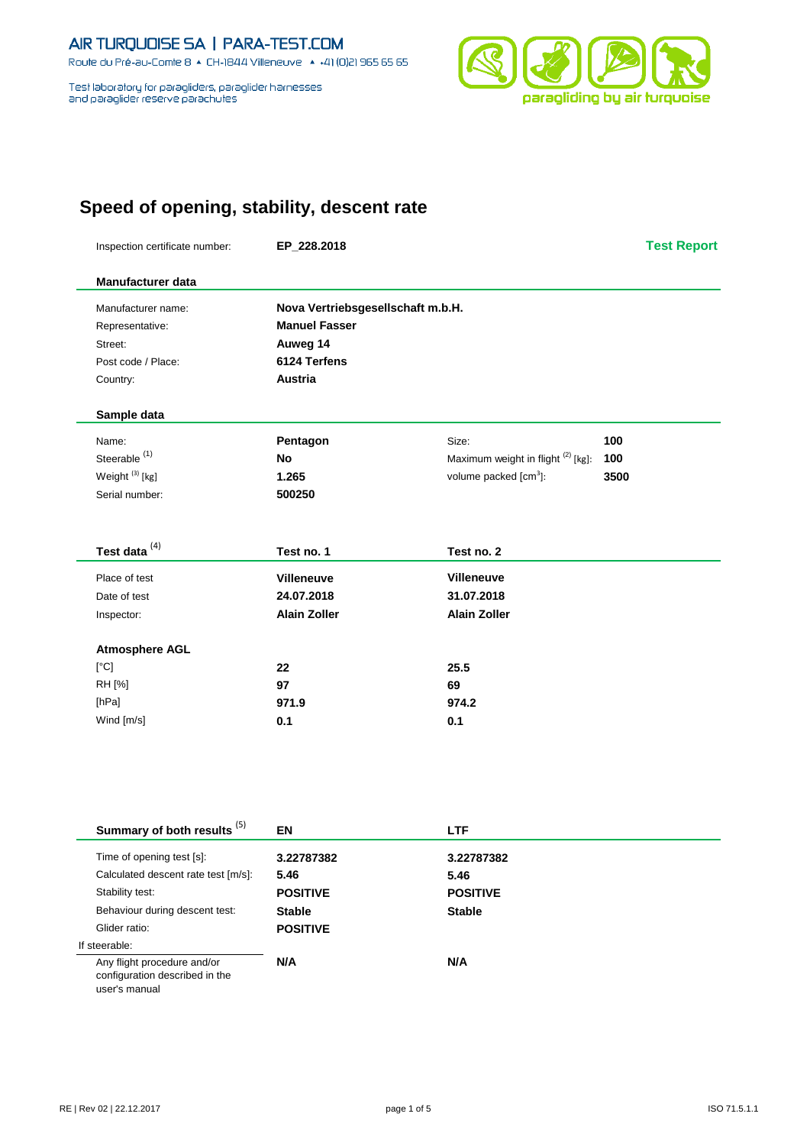Route du Pré-au-Comte 8 & CH-1844 Villeneuve | 4 +41 (0)21 965 65 65

Test laboratory for paragliders, paraglider harnesses<br>and paraglider reserve parachutes



# **Speed of opening, stability, descent rate**

| Inspection certificate number: | EP_228.2018                       |                                    | <b>Test Report</b> |
|--------------------------------|-----------------------------------|------------------------------------|--------------------|
| <b>Manufacturer data</b>       |                                   |                                    |                    |
| Manufacturer name:             | Nova Vertriebsgesellschaft m.b.H. |                                    |                    |
| Representative:                | <b>Manuel Fasser</b>              |                                    |                    |
| Street:                        | Auweg 14                          |                                    |                    |
| Post code / Place:             | 6124 Terfens                      |                                    |                    |
| Country:                       | <b>Austria</b>                    |                                    |                    |
| Sample data                    |                                   |                                    |                    |
| Name:                          | Pentagon                          | Size:                              | 100                |
| Steerable <sup>(1)</sup>       | <b>No</b>                         | Maximum weight in flight (2) [kg]: | 100                |
| Weight <sup>(3)</sup> [kg]     | 1.265                             | volume packed [cm <sup>3</sup> ]:  | 3500               |
| Serial number:                 | 500250                            |                                    |                    |
| Test data <sup>(4)</sup>       | Test no. 1                        | Test no. 2                         |                    |
| Place of test                  | <b>Villeneuve</b>                 | <b>Villeneuve</b>                  |                    |
| Date of test                   | 24.07.2018                        | 31.07.2018                         |                    |
| Inspector:                     | <b>Alain Zoller</b>               | <b>Alain Zoller</b>                |                    |
| <b>Atmosphere AGL</b>          |                                   |                                    |                    |
| [°C]                           | 22                                | 25.5                               |                    |
| RH [%]                         | 97                                | 69                                 |                    |
| [hPa]                          | 971.9                             | 974.2                              |                    |
| Wind [m/s]                     | 0.1                               | 0.1                                |                    |

| Summary of both results <sup>(5)</sup>                                         | EN              | <b>LTF</b>      |  |
|--------------------------------------------------------------------------------|-----------------|-----------------|--|
| Time of opening test [s]:                                                      | 3.22787382      | 3.22787382      |  |
| Calculated descent rate test [m/s]:                                            | 5.46            | 5.46            |  |
| Stability test:                                                                | <b>POSITIVE</b> | <b>POSITIVE</b> |  |
| Behaviour during descent test:                                                 | <b>Stable</b>   | <b>Stable</b>   |  |
| Glider ratio:                                                                  | <b>POSITIVE</b> |                 |  |
| If steerable:                                                                  |                 |                 |  |
| Any flight procedure and/or<br>configuration described in the<br>user's manual | N/A             | N/A             |  |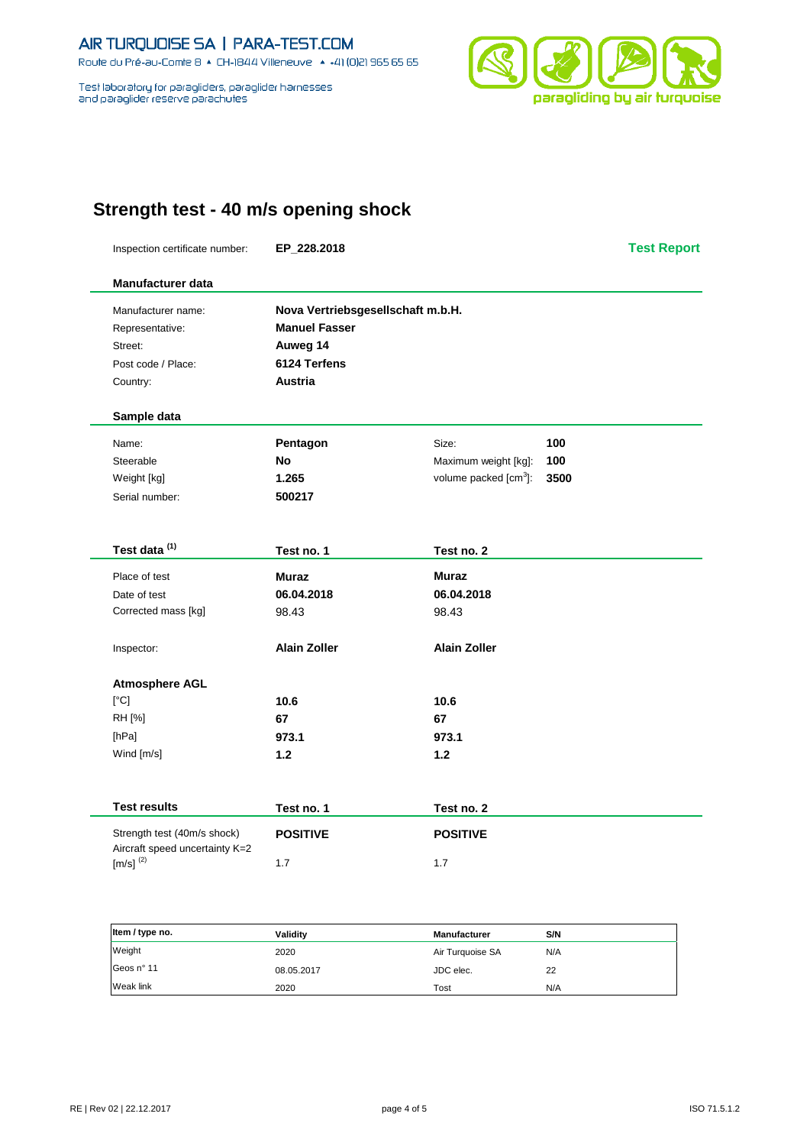Route du Pré-au-Comte 8 & CH-1844 Villeneuve | 4 +41 (0)21 965 65 65

Test laboratory for paragliders, paraglider harnesses and paraglider reserve parachutes



## **Strength test - 40 m/s opening shock**

Inspection certificate number: **EP\_228.2018 Test Report**

| <b>Manufacturer data</b> |                      |                                   |      |  |
|--------------------------|----------------------|-----------------------------------|------|--|
| Manufacturer name:       |                      | Nova Vertriebsgesellschaft m.b.H. |      |  |
| Representative:          | <b>Manuel Fasser</b> |                                   |      |  |
| Street:                  | Auweg 14             |                                   |      |  |
| Post code / Place:       | 6124 Terfens         |                                   |      |  |
| Country:                 | Austria              |                                   |      |  |
| Sample data              |                      |                                   |      |  |
| Name:                    | Pentagon             | Size:                             | 100  |  |
| Steerable                | <b>No</b>            | Maximum weight [kg]:              | 100  |  |
| Weight [kg]              | 1.265                | volume packed $[cm3]$ :           | 3500 |  |
| Serial number:           | 500217               |                                   |      |  |
| Test data <sup>(1)</sup> | Test no. 1           | Test no. 2                        |      |  |
| Place of test            | <b>Muraz</b>         | <b>Muraz</b>                      |      |  |
| Date of test             | 06.04.2018           | 06.04.2018                        |      |  |
| Corrected mass [kg]      | 98.43                | 98.43                             |      |  |
| Inspector:               | <b>Alain Zoller</b>  | <b>Alain Zoller</b>               |      |  |
| <b>Atmosphere AGL</b>    |                      |                                   |      |  |
| [°C]                     | 10.6                 | 10.6                              |      |  |
| RH [%]                   | 67                   | 67                                |      |  |
| [hPa]                    | 973.1                | 973.1                             |      |  |
| Wind [m/s]               | 1.2                  | 1.2                               |      |  |
| <b>Test results</b>      | Test no. 1           | Test no. 2                        |      |  |

| Strength test (40m/s shock)<br>Aircraft speed uncertainty K=2 | <b>POSITIVE</b> | <b>POSITIVE</b> |
|---------------------------------------------------------------|-----------------|-----------------|
| $\text{Im/s1}^{(2)}$                                          |                 | 1.7             |

| Item / type no. | Validity   | <b>Manufacturer</b> | S/N |
|-----------------|------------|---------------------|-----|
| Weight          | 2020       | Air Turquoise SA    | N/A |
| Geos nº 11      | 08.05.2017 | JDC elec.           | 22  |
| Weak link       | 2020       | Tost                | N/A |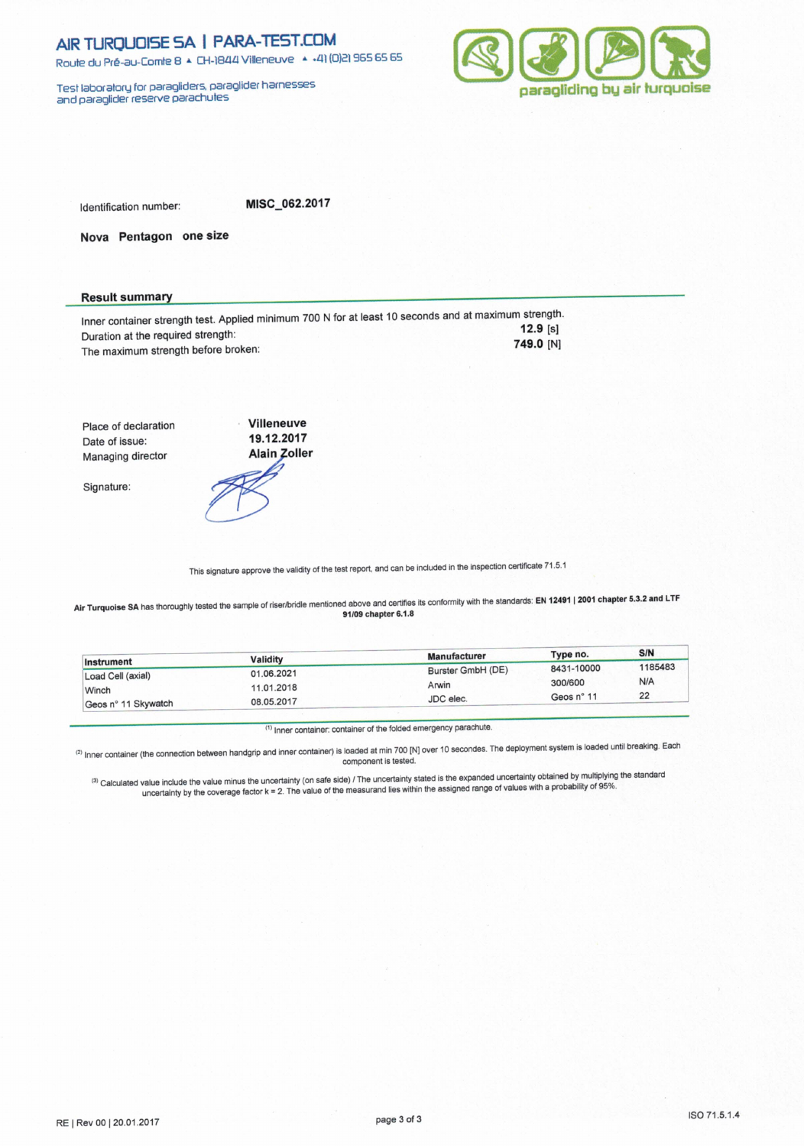Route du Pré-au-Comte 8 & CH-1844 Villeneuve | 4 +41 (0)21 965 65 65

Test laboratory for paragliders, paraglider hamesses<br>and paraglider reserve parachutes



Identification number:

MISC 062.2017

Nova Pentagon one size

### **Result summary**

Inner container strength test. Applied minimum 700 N for at least 10 seconds and at maximum strength.  $12.9 [s]$ Duration at the required strength: 749.0 [N] The maximum strength before broken:

Villeneuve Place of declaration 19.12.2017 Date of issue: Managing director

Signature:



This signature approve the validity of the test report, and can be included in the inspection certificate 71.5.1

Air Turquoise SA has thoroughly tested the sample of riser/bridle mentioned above and certifies its conformity with the standards: EN 12491 | 2001 chapter 5.3.2 and LTF 91/09 chapter 6.1.8

|                     |            | <b>Manufacturer</b> | Type no.   | S/N     |
|---------------------|------------|---------------------|------------|---------|
| Instrument          | Validity   |                     | 8431-10000 | 1185483 |
| Load Cell (axial)   | 01.06.2021 | Burster GmbH (DE)   |            |         |
| Winch               | 11.01.2018 | Arwin               | 300/600    | N/A     |
|                     |            | JDC elec.           | Geos n° 11 | 22      |
| Geos n° 11 Skywatch | 08.05.2017 |                     |            |         |

(1) Inner container: container of the folded emergency parachute.

(2) Inner container (the connection between handgrip and inner container) is loaded at min 700 [N] over 10 secondes. The deployment system is loaded until breaking. Each component is tested.

(3) Calculated value include the value minus the uncertainty (on safe side) / The uncertainty stated is the expanded uncertainty obtained by multiplying the standard<br>uncertainty by the coverage factor k = 2. The value of t